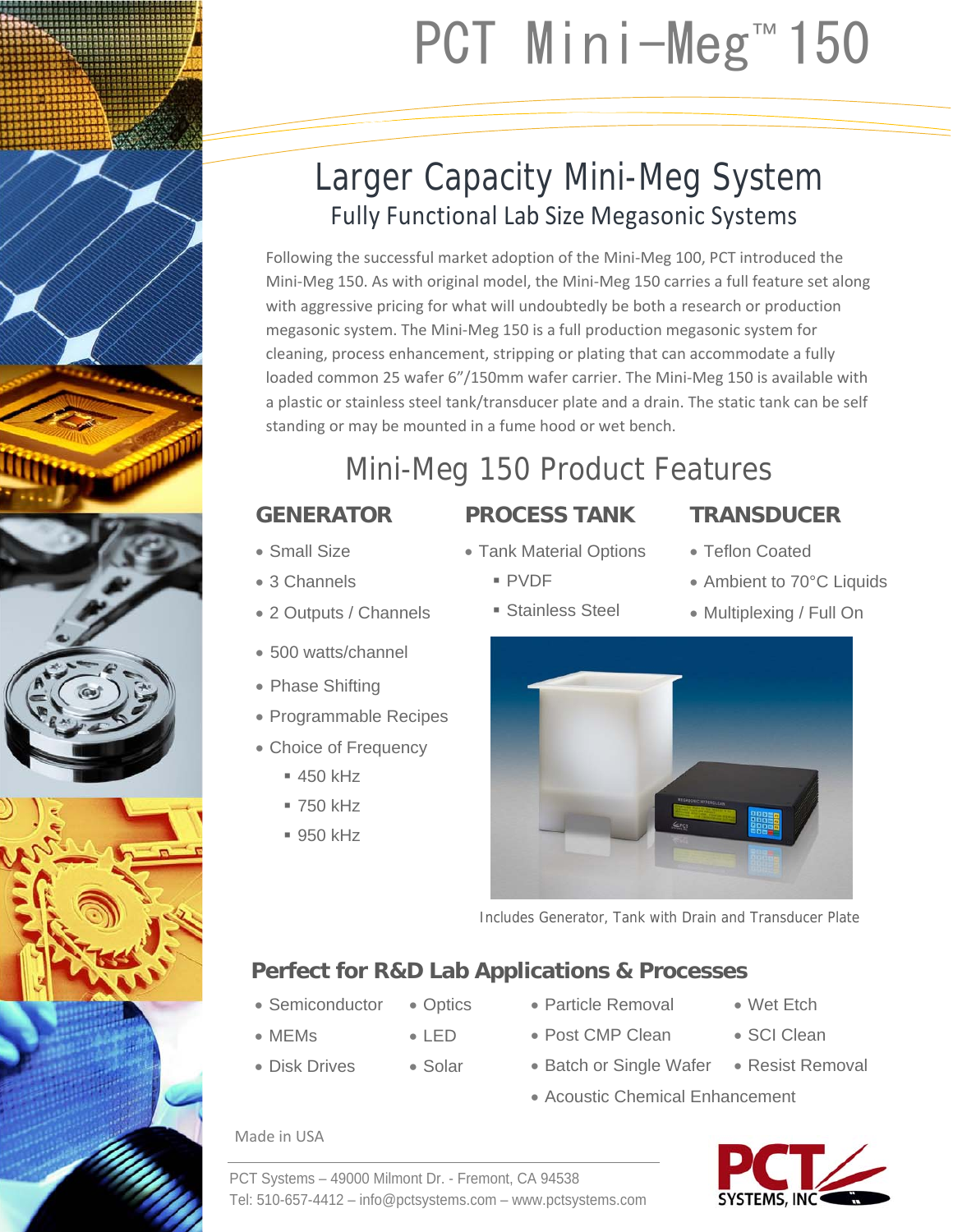

## Larger Capacity Mini-Meg System Fully Functional Lab Size Megasonic Systems

Following the successful market adoption of the Mini‐Meg 100, PCT introduced the Mini‐Meg 150. As with original model, the Mini‐Meg 150 carries a full feature set along with aggressive pricing for what will undoubtedly be both a research or production megasonic system. The Mini‐Meg 150 is a full production megasonic system for cleaning, process enhancement, stripping or plating that can accommodate a fully loaded common 25 wafer 6"/150mm wafer carrier. The Mini‐Meg 150 is available with a plastic or stainless steel tank/transducer plate and a drain. The static tank can be self standing or may be mounted in a fume hood or wet bench.

# Mini-Meg 150 Product Features

## **GENERATOR**

2 Outputs / Channels

Programmable Recipes

Choice of Frequency

500 watts/channel

• Phase Shifting

 $= 450$  kHz 750 kHz  $950$  kHz

Small Size

• 3 Channels

- **PROCESS TANK**
- Tank Material Options
	- PVDF
	- **Stainless Steel**
- Teflon Coated
- Ambient to 70°C Liquids
- Multiplexing / Full On



Includes Generator, Tank with Drain and Transducer Plate

### **Perfect for R&D Lab Applications & Processes**

- Semiconductor • Optics
- MEMs
- LED Solar
- Disk Drives
- Particle Removal Post CMP Clean
- Wet Etch
- SCI Clean
- Batch or Single Wafer Resist Removal
- Acoustic Chemical Enhancement

### Made in USA



PCT Systems – 49000 Milmont Dr. - Fremont, CA 94538 Tel: 510-657-4412 – info@pctsystems.com – www.pctsystems.com

# **TRANSDUCER**